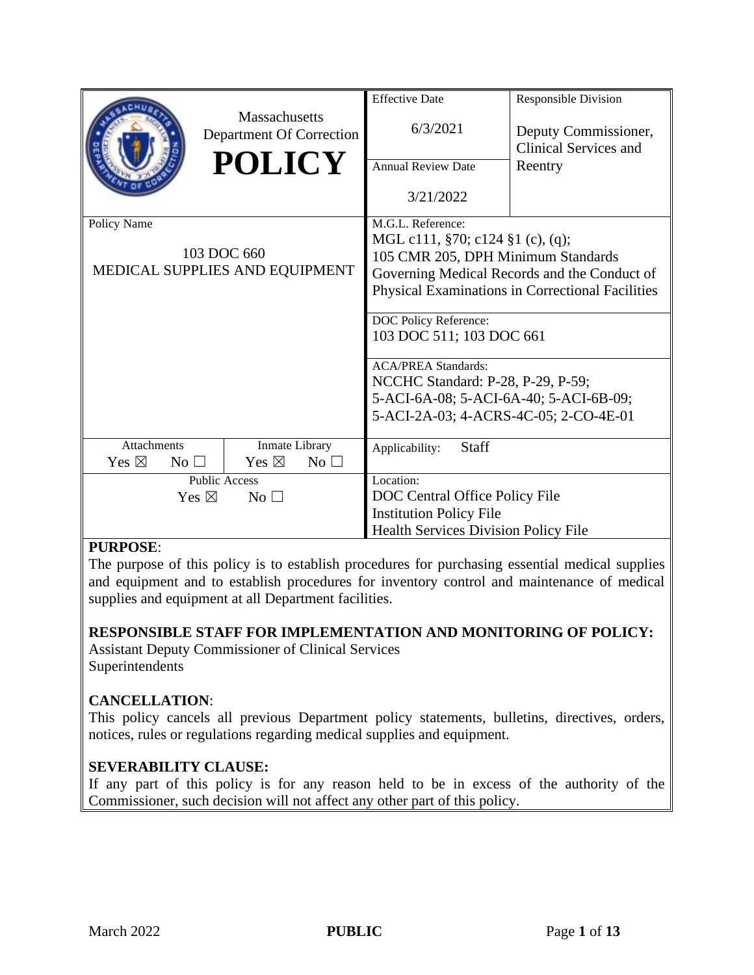|                                    |                                                  | <b>Effective Date</b>                                                              | <b>Responsible Division</b>                   |  |  |  |  |  |  |  |  |  |
|------------------------------------|--------------------------------------------------|------------------------------------------------------------------------------------|-----------------------------------------------|--|--|--|--|--|--|--|--|--|
|                                    | <b>Massachusetts</b><br>Department Of Correction | 6/3/2021                                                                           | Deputy Commissioner,<br>Clinical Services and |  |  |  |  |  |  |  |  |  |
|                                    | <b>POLICY</b>                                    | <b>Annual Review Date</b>                                                          | Reentry                                       |  |  |  |  |  |  |  |  |  |
|                                    |                                                  | 3/21/2022                                                                          |                                               |  |  |  |  |  |  |  |  |  |
| Policy Name                        |                                                  | M.G.L. Reference:                                                                  |                                               |  |  |  |  |  |  |  |  |  |
|                                    | 103 DOC 660                                      | MGL c111, $\S 70$ ; c124 $\S 1$ (c), (q);                                          |                                               |  |  |  |  |  |  |  |  |  |
|                                    | MEDICAL SUPPLIES AND EQUIPMENT                   | 105 CMR 205, DPH Minimum Standards<br>Governing Medical Records and the Conduct of |                                               |  |  |  |  |  |  |  |  |  |
|                                    |                                                  | Physical Examinations in Correctional Facilities                                   |                                               |  |  |  |  |  |  |  |  |  |
|                                    |                                                  |                                                                                    |                                               |  |  |  |  |  |  |  |  |  |
|                                    |                                                  | DOC Policy Reference:                                                              |                                               |  |  |  |  |  |  |  |  |  |
|                                    |                                                  | 103 DOC 511; 103 DOC 661                                                           |                                               |  |  |  |  |  |  |  |  |  |
|                                    |                                                  | <b>ACA/PREA Standards:</b>                                                         |                                               |  |  |  |  |  |  |  |  |  |
|                                    |                                                  | NCCHC Standard: P-28, P-29, P-59;                                                  |                                               |  |  |  |  |  |  |  |  |  |
|                                    |                                                  | 5-ACI-6A-08; 5-ACI-6A-40; 5-ACI-6B-09;                                             |                                               |  |  |  |  |  |  |  |  |  |
|                                    |                                                  | 5-ACI-2A-03; 4-ACRS-4C-05; 2-CO-4E-01                                              |                                               |  |  |  |  |  |  |  |  |  |
| Attachments                        | Inmate Library                                   | Staff<br>Applicability:                                                            |                                               |  |  |  |  |  |  |  |  |  |
| Yes $\boxtimes$<br>No <sub>1</sub> | Yes $\boxtimes$<br>No $\square$                  |                                                                                    |                                               |  |  |  |  |  |  |  |  |  |
|                                    | <b>Public Access</b>                             | Location:                                                                          |                                               |  |  |  |  |  |  |  |  |  |
| Yes $\boxtimes$                    | No <sub>1</sub>                                  | DOC Central Office Policy File                                                     |                                               |  |  |  |  |  |  |  |  |  |
|                                    |                                                  | <b>Institution Policy File</b>                                                     |                                               |  |  |  |  |  |  |  |  |  |
|                                    |                                                  | <b>Health Services Division Policy File</b>                                        |                                               |  |  |  |  |  |  |  |  |  |

# **PURPOSE**:

The purpose of this policy is to establish procedures for purchasing essential medical supplies and equipment and to establish procedures for inventory control and maintenance of medical supplies and equipment at all Department facilities.

## **RESPONSIBLE STAFF FOR IMPLEMENTATION AND MONITORING OF POLICY:**

Assistant Deputy Commissioner of Clinical Services Superintendents

## **CANCELLATION**:

This policy cancels all previous Department policy statements, bulletins, directives, orders, notices, rules or regulations regarding medical supplies and equipment.

## **SEVERABILITY CLAUSE:**

If any part of this policy is for any reason held to be in excess of the authority of the Commissioner, such decision will not affect any other part of this policy.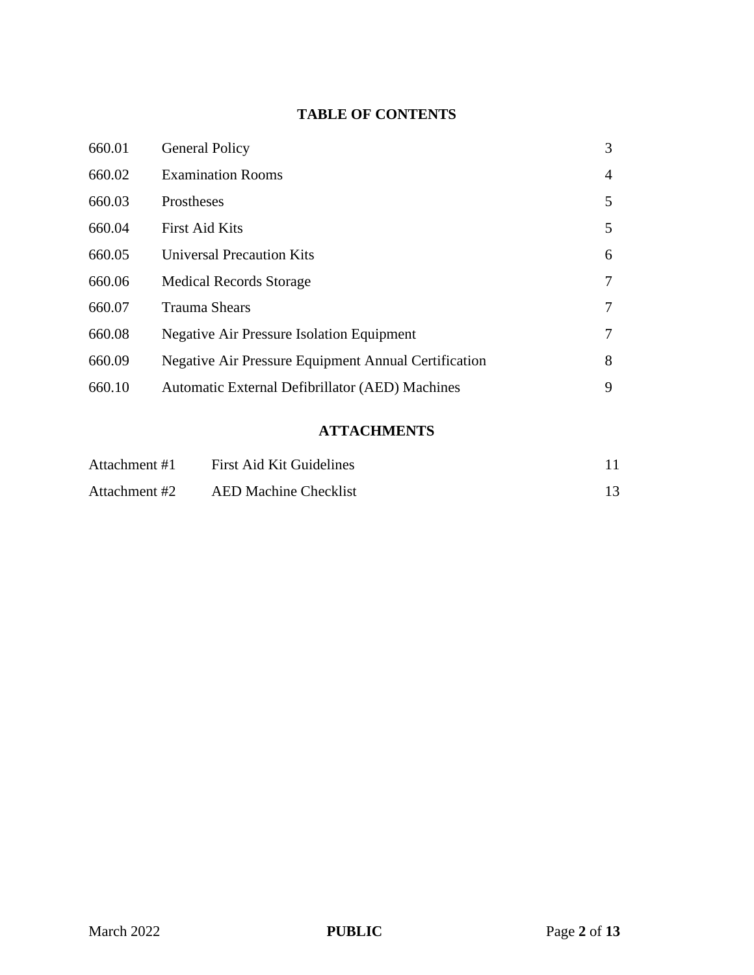# **TABLE OF CONTENTS**

| 660.01 | <b>General Policy</b>                                       | 3              |
|--------|-------------------------------------------------------------|----------------|
| 660.02 | <b>Examination Rooms</b>                                    | $\overline{4}$ |
| 660.03 | Prostheses                                                  | 5              |
| 660.04 | <b>First Aid Kits</b>                                       | 5              |
| 660.05 | <b>Universal Precaution Kits</b>                            | 6              |
| 660.06 | <b>Medical Records Storage</b>                              | 7              |
| 660.07 | <b>Trauma Shears</b>                                        | 7              |
| 660.08 | <b>Negative Air Pressure Isolation Equipment</b>            | 7              |
| 660.09 | <b>Negative Air Pressure Equipment Annual Certification</b> | 8              |
| 660.10 | Automatic External Defibrillator (AED) Machines             | 9              |

# **ATTACHMENTS**

| Attachment #1 | <b>First Aid Kit Guidelines</b> |  |
|---------------|---------------------------------|--|
| Attachment #2 | <b>AED Machine Checklist</b>    |  |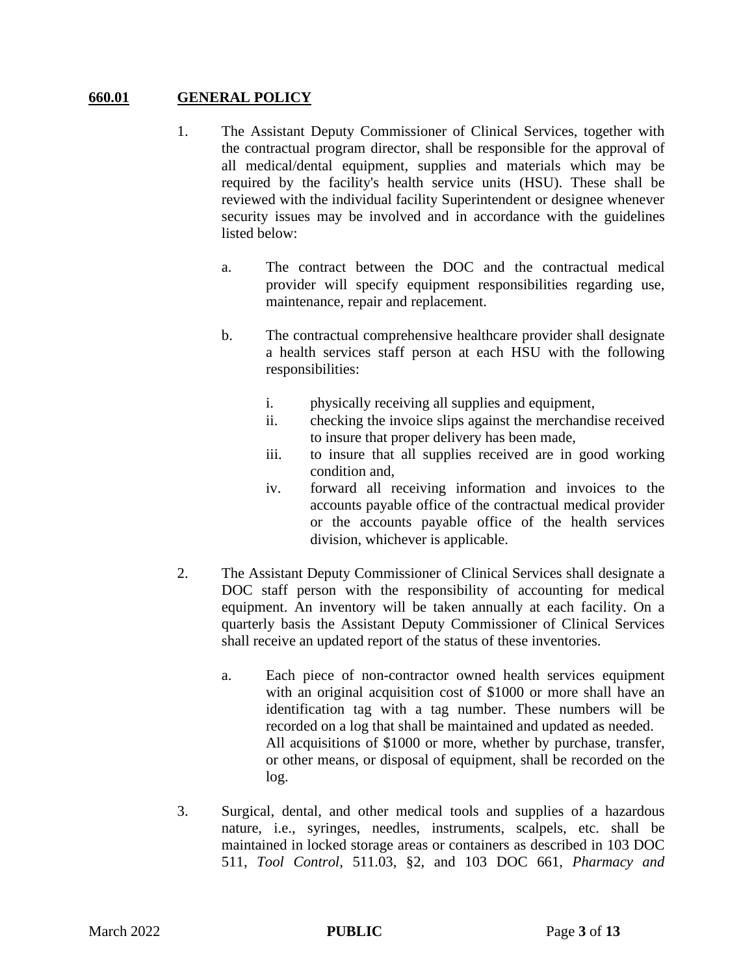## **660.01 GENERAL POLICY**

- 1. The Assistant Deputy Commissioner of Clinical Services, together with the contractual program director, shall be responsible for the approval of all medical/dental equipment, supplies and materials which may be required by the facility's health service units (HSU). These shall be reviewed with the individual facility Superintendent or designee whenever security issues may be involved and in accordance with the guidelines listed below:
	- a. The contract between the DOC and the contractual medical provider will specify equipment responsibilities regarding use, maintenance, repair and replacement.
	- b. The contractual comprehensive healthcare provider shall designate a health services staff person at each HSU with the following responsibilities:
		- i. physically receiving all supplies and equipment,
		- ii. checking the invoice slips against the merchandise received to insure that proper delivery has been made,
		- iii. to insure that all supplies received are in good working condition and,
		- iv. forward all receiving information and invoices to the accounts payable office of the contractual medical provider or the accounts payable office of the health services division, whichever is applicable.
- 2. The Assistant Deputy Commissioner of Clinical Services shall designate a DOC staff person with the responsibility of accounting for medical equipment. An inventory will be taken annually at each facility. On a quarterly basis the Assistant Deputy Commissioner of Clinical Services shall receive an updated report of the status of these inventories.
	- a. Each piece of non-contractor owned health services equipment with an original acquisition cost of \$1000 or more shall have an identification tag with a tag number. These numbers will be recorded on a log that shall be maintained and updated as needed. All acquisitions of \$1000 or more, whether by purchase, transfer, or other means, or disposal of equipment, shall be recorded on the log.
- 3. Surgical, dental, and other medical tools and supplies of a hazardous nature, i.e., syringes, needles, instruments, scalpels, etc. shall be maintained in locked storage areas or containers as described in 103 DOC 511, *Tool Control,* 511.03, §2, and 103 DOC 661, *Pharmacy and*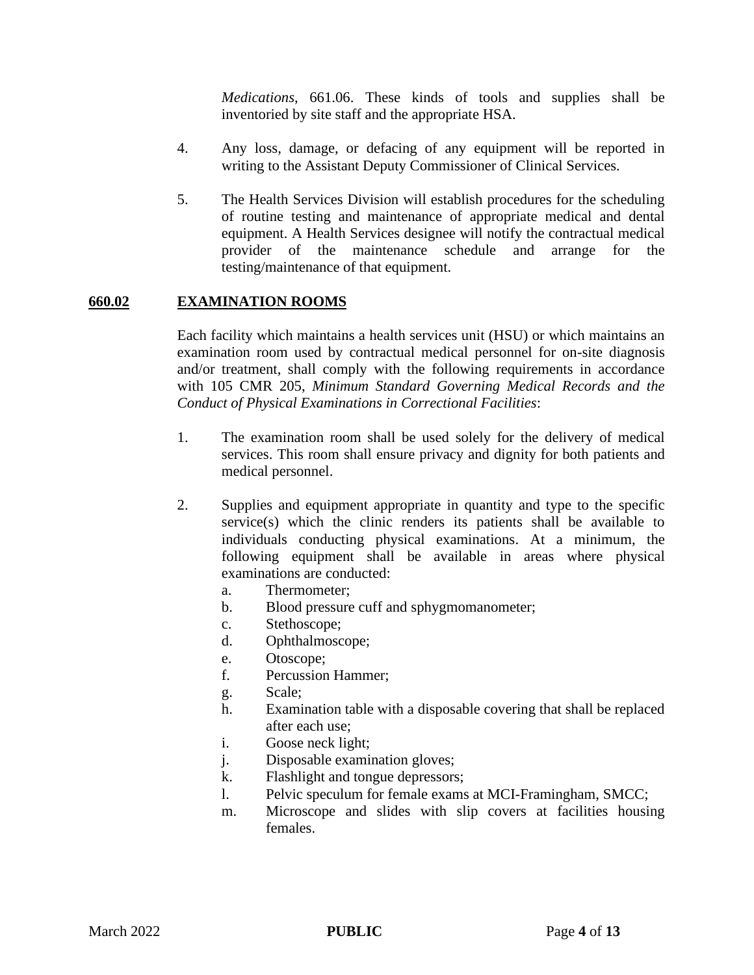*Medications*, 661.06. These kinds of tools and supplies shall be inventoried by site staff and the appropriate HSA.

- 4. Any loss, damage, or defacing of any equipment will be reported in writing to the Assistant Deputy Commissioner of Clinical Services.
- 5. The Health Services Division will establish procedures for the scheduling of routine testing and maintenance of appropriate medical and dental equipment. A Health Services designee will notify the contractual medical provider of the maintenance schedule and arrange for the testing/maintenance of that equipment.

## **660.02 EXAMINATION ROOMS**

Each facility which maintains a health services unit (HSU) or which maintains an examination room used by contractual medical personnel for on-site diagnosis and/or treatment, shall comply with the following requirements in accordance with 105 CMR 205, *Minimum Standard Governing Medical Records and the Conduct of Physical Examinations in Correctional Facilities*:

- 1. The examination room shall be used solely for the delivery of medical services. This room shall ensure privacy and dignity for both patients and medical personnel.
- 2. Supplies and equipment appropriate in quantity and type to the specific service(s) which the clinic renders its patients shall be available to individuals conducting physical examinations. At a minimum, the following equipment shall be available in areas where physical examinations are conducted:
	- a. Thermometer;
	- b. Blood pressure cuff and sphygmomanometer;
	- c. Stethoscope;
	- d. Ophthalmoscope;
	- e. Otoscope;
	- f. Percussion Hammer;
	- g. Scale;
	- h. Examination table with a disposable covering that shall be replaced after each use;
	- i. Goose neck light;
	- j. Disposable examination gloves;
	- k. Flashlight and tongue depressors;
	- l. Pelvic speculum for female exams at MCI-Framingham, SMCC;
	- m. Microscope and slides with slip covers at facilities housing females.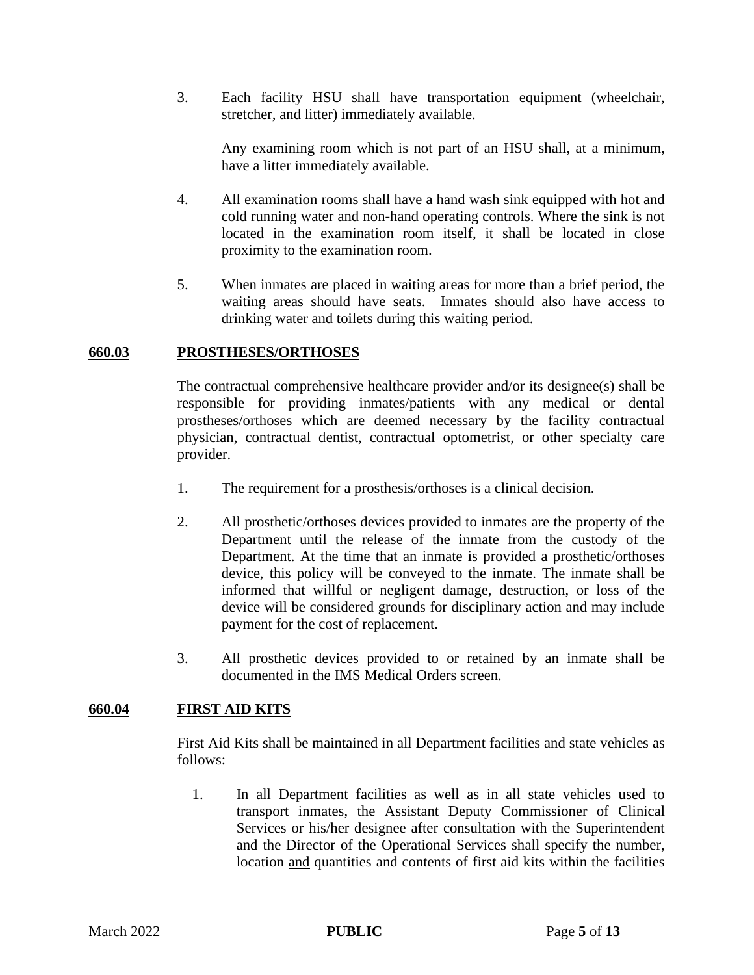3. Each facility HSU shall have transportation equipment (wheelchair, stretcher, and litter) immediately available.

Any examining room which is not part of an HSU shall, at a minimum, have a litter immediately available.

- 4. All examination rooms shall have a hand wash sink equipped with hot and cold running water and non-hand operating controls. Where the sink is not located in the examination room itself, it shall be located in close proximity to the examination room.
- 5. When inmates are placed in waiting areas for more than a brief period, the waiting areas should have seats. Inmates should also have access to drinking water and toilets during this waiting period.

#### **660.03 PROSTHESES/ORTHOSES**

The contractual comprehensive healthcare provider and/or its designee(s) shall be responsible for providing inmates/patients with any medical or dental prostheses/orthoses which are deemed necessary by the facility contractual physician, contractual dentist, contractual optometrist, or other specialty care provider.

- 1. The requirement for a prosthesis/orthoses is a clinical decision.
- 2. All prosthetic/orthoses devices provided to inmates are the property of the Department until the release of the inmate from the custody of the Department. At the time that an inmate is provided a prosthetic/orthoses device, this policy will be conveyed to the inmate. The inmate shall be informed that willful or negligent damage, destruction, or loss of the device will be considered grounds for disciplinary action and may include payment for the cost of replacement.
- 3. All prosthetic devices provided to or retained by an inmate shall be documented in the IMS Medical Orders screen.

## **660.04 FIRST AID KITS**

First Aid Kits shall be maintained in all Department facilities and state vehicles as follows:

1. In all Department facilities as well as in all state vehicles used to transport inmates, the Assistant Deputy Commissioner of Clinical Services or his/her designee after consultation with the Superintendent and the Director of the Operational Services shall specify the number, location and quantities and contents of first aid kits within the facilities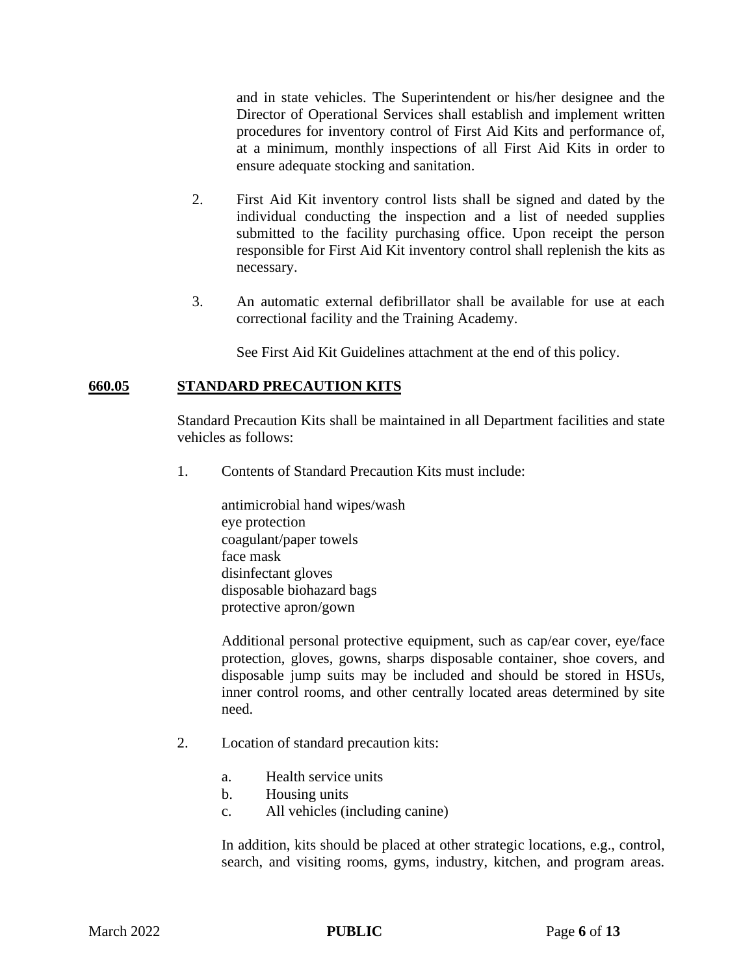and in state vehicles. The Superintendent or his/her designee and the Director of Operational Services shall establish and implement written procedures for inventory control of First Aid Kits and performance of, at a minimum, monthly inspections of all First Aid Kits in order to ensure adequate stocking and sanitation.

- 2. First Aid Kit inventory control lists shall be signed and dated by the individual conducting the inspection and a list of needed supplies submitted to the facility purchasing office. Upon receipt the person responsible for First Aid Kit inventory control shall replenish the kits as necessary.
- 3. An automatic external defibrillator shall be available for use at each correctional facility and the Training Academy.

See First Aid Kit Guidelines attachment at the end of this policy.

# **660.05 STANDARD PRECAUTION KITS**

Standard Precaution Kits shall be maintained in all Department facilities and state vehicles as follows:

1. Contents of Standard Precaution Kits must include:

antimicrobial hand wipes/wash eye protection coagulant/paper towels face mask disinfectant gloves disposable biohazard bags protective apron/gown

Additional personal protective equipment, such as cap/ear cover, eye/face protection, gloves, gowns, sharps disposable container, shoe covers, and disposable jump suits may be included and should be stored in HSUs, inner control rooms, and other centrally located areas determined by site need.

- 2. Location of standard precaution kits:
	- a. Health service units
	- b. Housing units
	- c. All vehicles (including canine)

In addition, kits should be placed at other strategic locations, e.g., control, search, and visiting rooms, gyms, industry, kitchen, and program areas.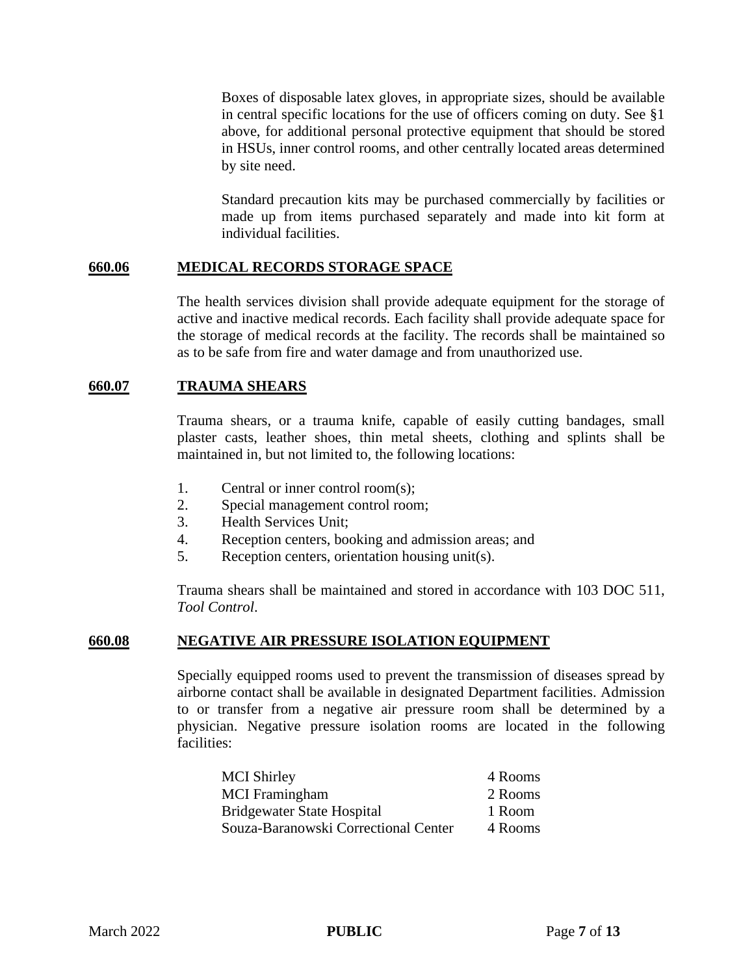Boxes of disposable latex gloves, in appropriate sizes, should be available in central specific locations for the use of officers coming on duty. See §1 above, for additional personal protective equipment that should be stored in HSUs, inner control rooms, and other centrally located areas determined by site need.

Standard precaution kits may be purchased commercially by facilities or made up from items purchased separately and made into kit form at individual facilities.

## **660.06 MEDICAL RECORDS STORAGE SPACE**

The health services division shall provide adequate equipment for the storage of active and inactive medical records. Each facility shall provide adequate space for the storage of medical records at the facility. The records shall be maintained so as to be safe from fire and water damage and from unauthorized use.

## **660.07 TRAUMA SHEARS**

Trauma shears, or a trauma knife, capable of easily cutting bandages, small plaster casts, leather shoes, thin metal sheets, clothing and splints shall be maintained in, but not limited to, the following locations:

- 1. Central or inner control room(s);
- 2. Special management control room;
- 3. Health Services Unit;
- 4. Reception centers, booking and admission areas; and
- 5. Reception centers, orientation housing unit(s).

Trauma shears shall be maintained and stored in accordance with 103 DOC 511, *Tool Control*.

## **660.08 NEGATIVE AIR PRESSURE ISOLATION EQUIPMENT**

Specially equipped rooms used to prevent the transmission of diseases spread by airborne contact shall be available in designated Department facilities. Admission to or transfer from a negative air pressure room shall be determined by a physician. Negative pressure isolation rooms are located in the following facilities:

| <b>MCI Shirley</b>                   | 4 Rooms |
|--------------------------------------|---------|
| <b>MCI</b> Framingham                | 2 Rooms |
| <b>Bridgewater State Hospital</b>    | 1 Room  |
| Souza-Baranowski Correctional Center | 4 Rooms |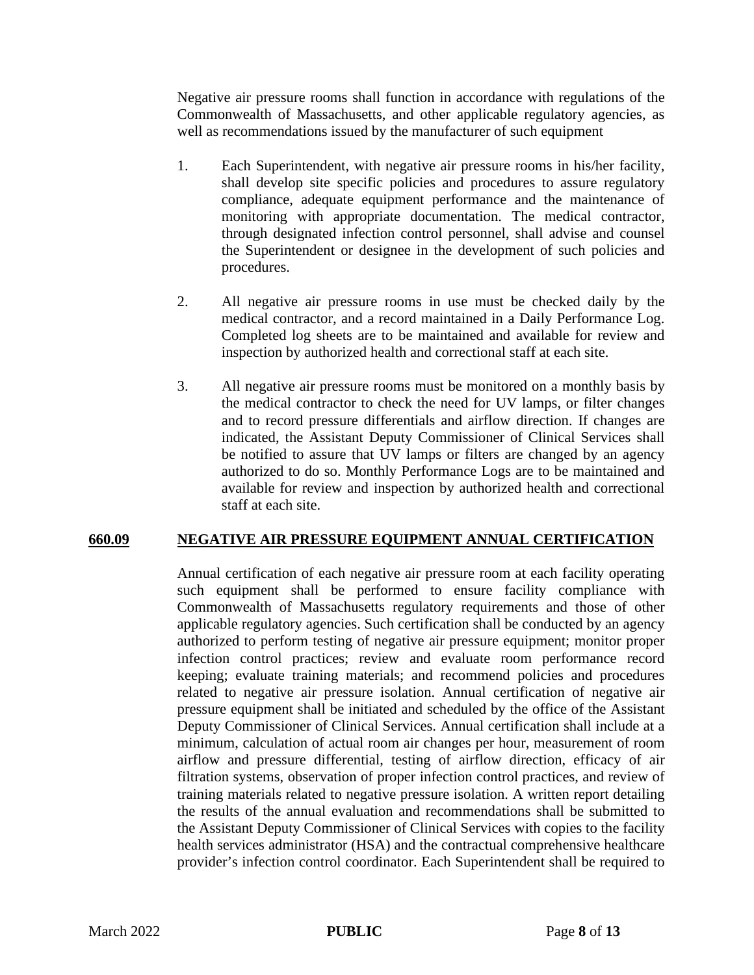Negative air pressure rooms shall function in accordance with regulations of the Commonwealth of Massachusetts, and other applicable regulatory agencies, as well as recommendations issued by the manufacturer of such equipment

- 1. Each Superintendent, with negative air pressure rooms in his/her facility, shall develop site specific policies and procedures to assure regulatory compliance, adequate equipment performance and the maintenance of monitoring with appropriate documentation. The medical contractor, through designated infection control personnel, shall advise and counsel the Superintendent or designee in the development of such policies and procedures.
- 2. All negative air pressure rooms in use must be checked daily by the medical contractor, and a record maintained in a Daily Performance Log. Completed log sheets are to be maintained and available for review and inspection by authorized health and correctional staff at each site.
- 3. All negative air pressure rooms must be monitored on a monthly basis by the medical contractor to check the need for UV lamps, or filter changes and to record pressure differentials and airflow direction. If changes are indicated, the Assistant Deputy Commissioner of Clinical Services shall be notified to assure that UV lamps or filters are changed by an agency authorized to do so. Monthly Performance Logs are to be maintained and available for review and inspection by authorized health and correctional staff at each site.

## **660.09 NEGATIVE AIR PRESSURE EQUIPMENT ANNUAL CERTIFICATION**

Annual certification of each negative air pressure room at each facility operating such equipment shall be performed to ensure facility compliance with Commonwealth of Massachusetts regulatory requirements and those of other applicable regulatory agencies. Such certification shall be conducted by an agency authorized to perform testing of negative air pressure equipment; monitor proper infection control practices; review and evaluate room performance record keeping; evaluate training materials; and recommend policies and procedures related to negative air pressure isolation. Annual certification of negative air pressure equipment shall be initiated and scheduled by the office of the Assistant Deputy Commissioner of Clinical Services. Annual certification shall include at a minimum, calculation of actual room air changes per hour, measurement of room airflow and pressure differential, testing of airflow direction, efficacy of air filtration systems, observation of proper infection control practices, and review of training materials related to negative pressure isolation. A written report detailing the results of the annual evaluation and recommendations shall be submitted to the Assistant Deputy Commissioner of Clinical Services with copies to the facility health services administrator (HSA) and the contractual comprehensive healthcare provider's infection control coordinator. Each Superintendent shall be required to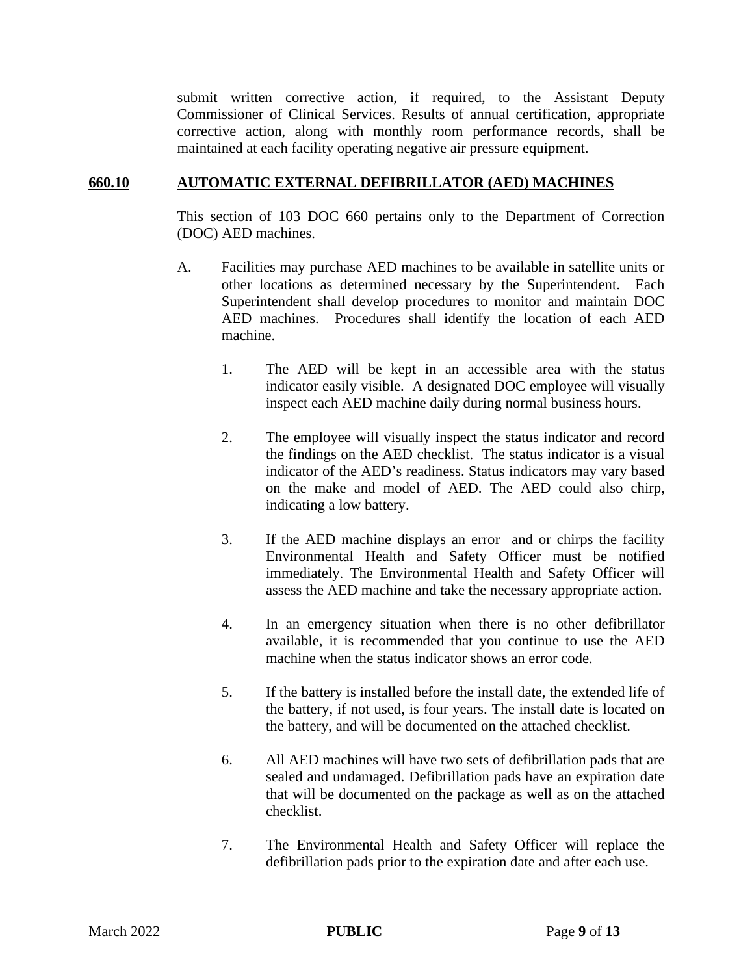submit written corrective action, if required, to the Assistant Deputy Commissioner of Clinical Services. Results of annual certification, appropriate corrective action, along with monthly room performance records, shall be maintained at each facility operating negative air pressure equipment.

## **660.10 AUTOMATIC EXTERNAL DEFIBRILLATOR (AED) MACHINES**

This section of 103 DOC 660 pertains only to the Department of Correction (DOC) AED machines.

- A. Facilities may purchase AED machines to be available in satellite units or other locations as determined necessary by the Superintendent. Each Superintendent shall develop procedures to monitor and maintain DOC AED machines. Procedures shall identify the location of each AED machine.
	- 1. The AED will be kept in an accessible area with the status indicator easily visible. A designated DOC employee will visually inspect each AED machine daily during normal business hours.
	- 2. The employee will visually inspect the status indicator and record the findings on the AED checklist. The status indicator is a visual indicator of the AED's readiness. Status indicators may vary based on the make and model of AED. The AED could also chirp, indicating a low battery.
	- 3. If the AED machine displays an error and or chirps the facility Environmental Health and Safety Officer must be notified immediately. The Environmental Health and Safety Officer will assess the AED machine and take the necessary appropriate action.
	- 4. In an emergency situation when there is no other defibrillator available, it is recommended that you continue to use the AED machine when the status indicator shows an error code.
	- 5. If the battery is installed before the install date, the extended life of the battery, if not used, is four years. The install date is located on the battery, and will be documented on the attached checklist.
	- 6. All AED machines will have two sets of defibrillation pads that are sealed and undamaged. Defibrillation pads have an expiration date that will be documented on the package as well as on the attached checklist.
	- 7. The Environmental Health and Safety Officer will replace the defibrillation pads prior to the expiration date and after each use.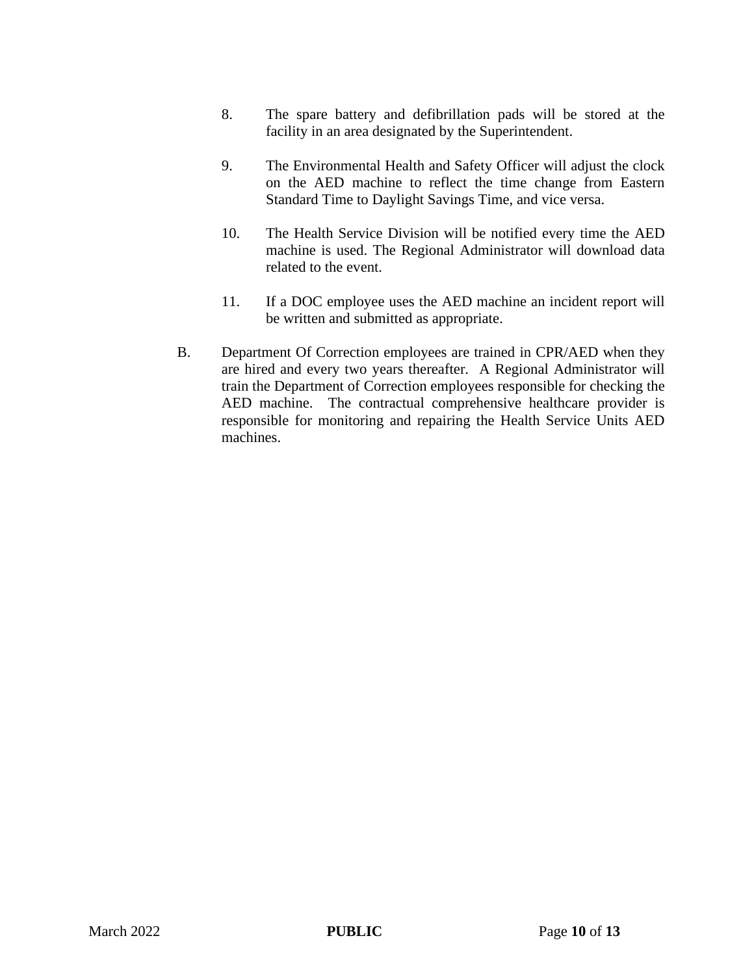- 8. The spare battery and defibrillation pads will be stored at the facility in an area designated by the Superintendent.
- 9. The Environmental Health and Safety Officer will adjust the clock on the AED machine to reflect the time change from Eastern Standard Time to Daylight Savings Time, and vice versa.
- 10. The Health Service Division will be notified every time the AED machine is used. The Regional Administrator will download data related to the event.
- 11. If a DOC employee uses the AED machine an incident report will be written and submitted as appropriate.
- B. Department Of Correction employees are trained in CPR/AED when they are hired and every two years thereafter. A Regional Administrator will train the Department of Correction employees responsible for checking the AED machine. The contractual comprehensive healthcare provider is responsible for monitoring and repairing the Health Service Units AED machines.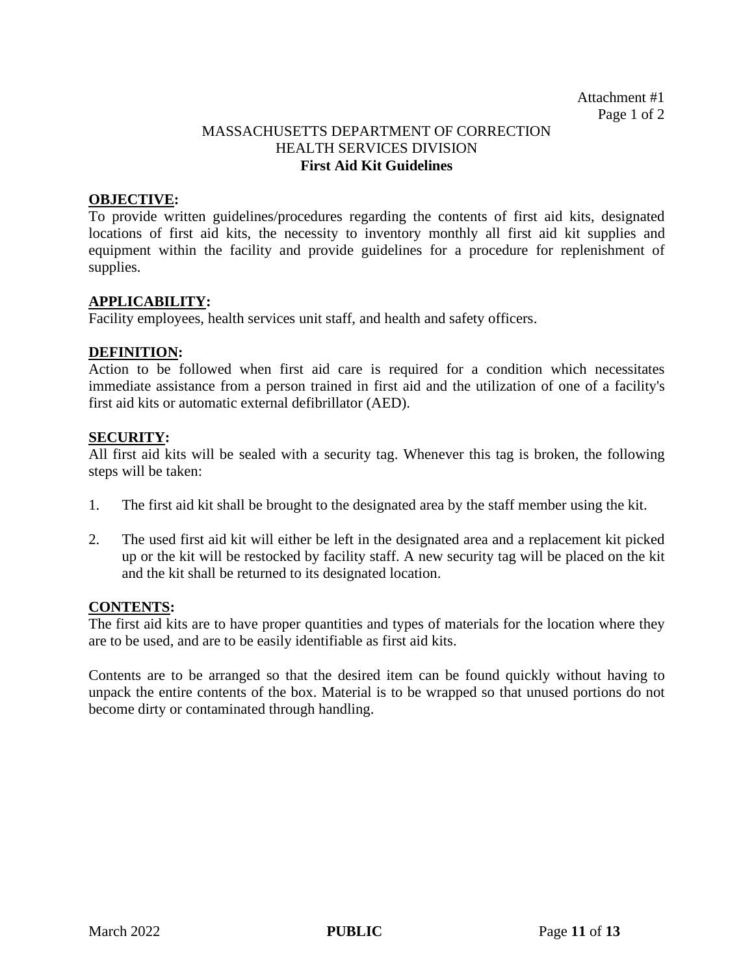## MASSACHUSETTS DEPARTMENT OF CORRECTION HEALTH SERVICES DIVISION **First Aid Kit Guidelines**

#### **OBJECTIVE:**

To provide written guidelines/procedures regarding the contents of first aid kits, designated locations of first aid kits, the necessity to inventory monthly all first aid kit supplies and equipment within the facility and provide guidelines for a procedure for replenishment of supplies.

#### **APPLICABILITY:**

Facility employees, health services unit staff, and health and safety officers.

#### **DEFINITION:**

Action to be followed when first aid care is required for a condition which necessitates immediate assistance from a person trained in first aid and the utilization of one of a facility's first aid kits or automatic external defibrillator (AED).

#### **SECURITY:**

All first aid kits will be sealed with a security tag. Whenever this tag is broken, the following steps will be taken:

- 1. The first aid kit shall be brought to the designated area by the staff member using the kit.
- 2. The used first aid kit will either be left in the designated area and a replacement kit picked up or the kit will be restocked by facility staff. A new security tag will be placed on the kit and the kit shall be returned to its designated location.

## **CONTENTS:**

The first aid kits are to have proper quantities and types of materials for the location where they are to be used, and are to be easily identifiable as first aid kits.

Contents are to be arranged so that the desired item can be found quickly without having to unpack the entire contents of the box. Material is to be wrapped so that unused portions do not become dirty or contaminated through handling.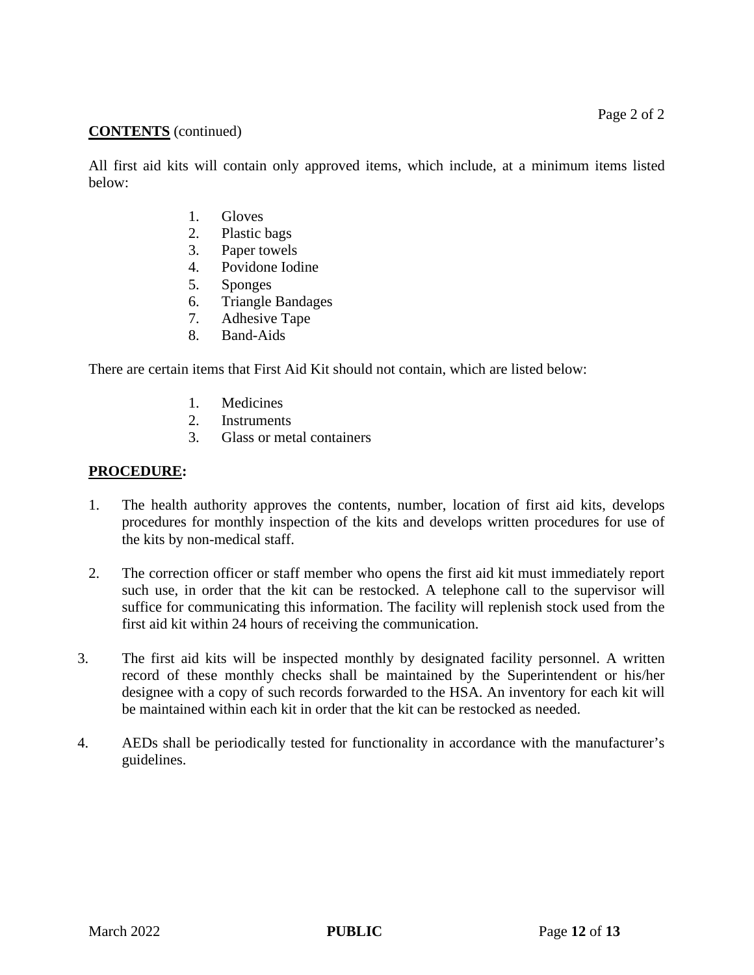## **CONTENTS** (continued)

All first aid kits will contain only approved items, which include, at a minimum items listed below:

- 1. Gloves
- 2. Plastic bags
- 3. Paper towels
- 4. Povidone Iodine
- 5. Sponges
- 6. Triangle Bandages
- 7. Adhesive Tape
- 8. Band-Aids

There are certain items that First Aid Kit should not contain, which are listed below:

- 1. Medicines
- 2. Instruments
- 3. Glass or metal containers

## **PROCEDURE:**

- 1. The health authority approves the contents, number, location of first aid kits, develops procedures for monthly inspection of the kits and develops written procedures for use of the kits by non-medical staff.
- 2. The correction officer or staff member who opens the first aid kit must immediately report such use, in order that the kit can be restocked. A telephone call to the supervisor will suffice for communicating this information. The facility will replenish stock used from the first aid kit within 24 hours of receiving the communication.
- 3. The first aid kits will be inspected monthly by designated facility personnel. A written record of these monthly checks shall be maintained by the Superintendent or his/her designee with a copy of such records forwarded to the HSA. An inventory for each kit will be maintained within each kit in order that the kit can be restocked as needed.
- 4. AEDs shall be periodically tested for functionality in accordance with the manufacturer's guidelines.